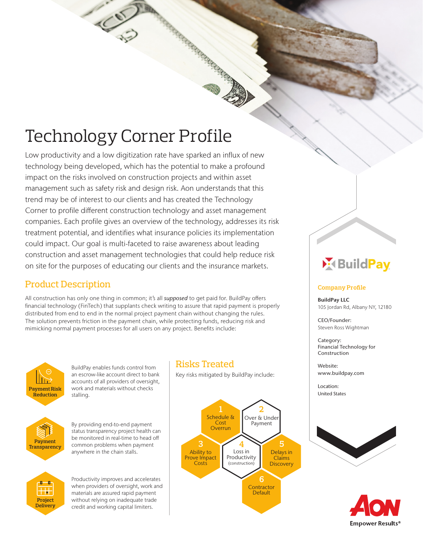# Technology Corner Profile

 $\ll$ 

Low productivity and a low digitization rate have sparked an influx of new technology being developed, which has the potential to make a profound impact on the risks involved on construction projects and within asset management such as safety risk and design risk. Aon understands that this trend may be of interest to our clients and has created the Technology Corner to profile different construction technology and asset management companies. Each profile gives an overview of the technology, addresses its risk treatment potential, and identifies what insurance policies its implementation could impact. Our goal is multi-faceted to raise awareness about leading construction and asset management technologies that could help reduce risk on site for the purposes of educating our clients and the insurance markets.

## Product Description

All construction has only one thing in common; it's all *supposed* to get paid for. BuildPay offers financial technology (FinTech) that supplants check writing to assure that rapid payment is properly distributed from end to end in the normal project payment chain without changing the rules. The solution prevents friction in the payment chain, while protecting funds, reducing risk and mimicking normal payment processes for all users on any project. Benefits include:



BuildPay enables funds control from an escrow-like account direct to bank accounts of all providers of oversight, work and materials without checks stalling.



By providing end-to-end payment status transparency project health can be monitored in real-time to head o common problems when payment anywhere in the chain stalls.



Productivity improves and accelerates when providers of oversight, work and materials are assured rapid payment without relying on inadequate trade credit and working capital limiters.

#### Risks Treated

Key risks mitigated by BuildPay include:

3



## **X** Build Pay

#### **Company Profile**

BuildPay LLC 105 Jordan Rd, Albany NY, 12180

CEO/Founder: Steven Ross Wightman

Category: Financial Technology for Construction

Website: www.buildpay.com

Location: United States